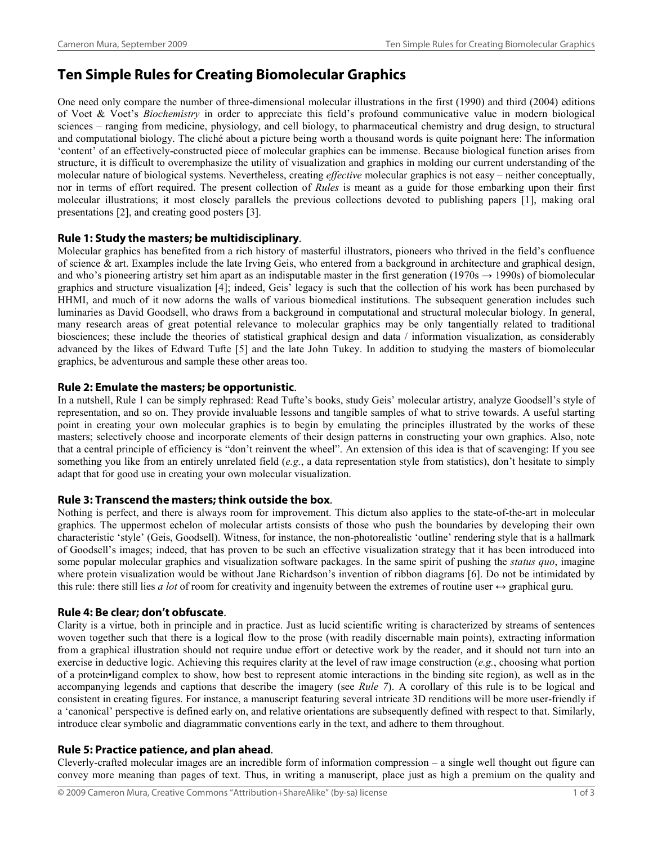# **Ten Simple Rules for Creating Biomolecular Graphics**

One need only compare the number of three-dimensional molecular illustrations in the first (1990) and third (2004) editions of Voet & Voet's *Biochemistry* in order to appreciate this field's profound communicative value in modern biological sciences – ranging from medicine, physiology, and cell biology, to pharmaceutical chemistry and drug design, to structural and computational biology. The cliché about a picture being worth a thousand words is quite poignant here: The information 'content' of an effectively-constructed piece of molecular graphics can be immense. Because biological function arises from structure, it is difficult to overemphasize the utility of visualization and graphics in molding our current understanding of the molecular nature of biological systems. Nevertheless, creating *effective* molecular graphics is not easy – neither conceptually, nor in terms of effort required. The present collection of *Rules* is meant as a guide for those embarking upon their first molecular illustrations; it most closely parallels the previous collections devoted to publishing papers [1], making oral presentations [2], and creating good posters [3].

## **Rule 1: Study the masters; be multidisciplinary**.

Molecular graphics has benefited from a rich history of masterful illustrators, pioneers who thrived in the field's confluence of science & art. Examples include the late Irving Geis, who entered from a background in architecture and graphical design, and who's pioneering artistry set him apart as an indisputable master in the first generation (1970s  $\rightarrow$  1990s) of biomolecular graphics and structure visualization [4]; indeed, Geis' legacy is such that the collection of his work has been purchased by HHMI, and much of it now adorns the walls of various biomedical institutions. The subsequent generation includes such luminaries as David Goodsell, who draws from a background in computational and structural molecular biology. In general, many research areas of great potential relevance to molecular graphics may be only tangentially related to traditional biosciences; these include the theories of statistical graphical design and data / information visualization, as considerably advanced by the likes of Edward Tufte [5] and the late John Tukey. In addition to studying the masters of biomolecular graphics, be adventurous and sample these other areas too.

# **Rule 2: Emulate the masters; be opportunistic**.

In a nutshell, Rule 1 can be simply rephrased: Read Tufte's books, study Geis' molecular artistry, analyze Goodsell's style of representation, and so on. They provide invaluable lessons and tangible samples of what to strive towards. A useful starting point in creating your own molecular graphics is to begin by emulating the principles illustrated by the works of these masters; selectively choose and incorporate elements of their design patterns in constructing your own graphics. Also, note that a central principle of efficiency is "don't reinvent the wheel". An extension of this idea is that of scavenging: If you see something you like from an entirely unrelated field (*e.g.*, a data representation style from statistics), don't hesitate to simply adapt that for good use in creating your own molecular visualization.

# **Rule 3: Transcend the masters; think outside the box**.

Nothing is perfect, and there is always room for improvement. This dictum also applies to the state-of-the-art in molecular graphics. The uppermost echelon of molecular artists consists of those who push the boundaries by developing their own characteristic 'style' (Geis, Goodsell). Witness, for instance, the non-photorealistic 'outline' rendering style that is a hallmark of Goodsell's images; indeed, that has proven to be such an effective visualization strategy that it has been introduced into some popular molecular graphics and visualization software packages. In the same spirit of pushing the *status quo*, imagine where protein visualization would be without Jane Richardson's invention of ribbon diagrams [6]. Do not be intimidated by this rule: there still lies *a lot* of room for creativity and ingenuity between the extremes of routine user  $\leftrightarrow$  graphical guru.

## **Rule 4: Be clear; don't obfuscate**.

Clarity is a virtue, both in principle and in practice. Just as lucid scientific writing is characterized by streams of sentences woven together such that there is a logical flow to the prose (with readily discernable main points), extracting information from a graphical illustration should not require undue effort or detective work by the reader, and it should not turn into an exercise in deductive logic. Achieving this requires clarity at the level of raw image construction (*e.g.*, choosing what portion of a protein•ligand complex to show, how best to represent atomic interactions in the binding site region), as well as in the accompanying legends and captions that describe the imagery (see *Rule 7*). A corollary of this rule is to be logical and consistent in creating figures. For instance, a manuscript featuring several intricate 3D renditions will be more user-friendly if a 'canonical' perspective is defined early on, and relative orientations are subsequently defined with respect to that. Similarly, introduce clear symbolic and diagrammatic conventions early in the text, and adhere to them throughout.

## **Rule 5: Practice patience, and plan ahead**.

Cleverly-crafted molecular images are an incredible form of information compression – a single well thought out figure can convey more meaning than pages of text. Thus, in writing a manuscript, place just as high a premium on the quality and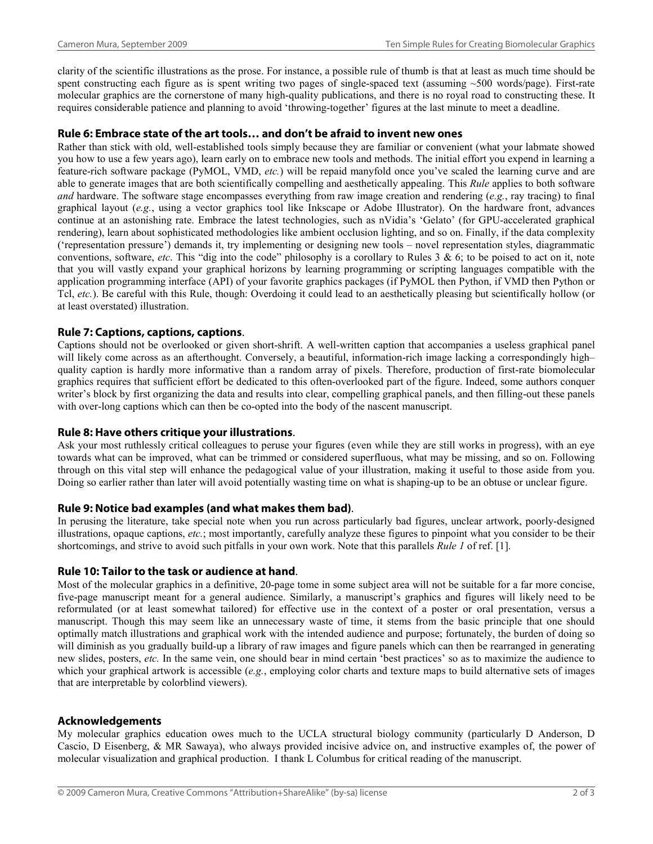clarity of the scientific illustrations as the prose. For instance, a possible rule of thumb is that at least as much time should be spent constructing each figure as is spent writing two pages of single-spaced text (assuming  $~500$  words/page). First-rate molecular graphics are the cornerstone of many high-quality publications, and there is no royal road to constructing these. It requires considerable patience and planning to avoid 'throwing-together' figures at the last minute to meet a deadline.

#### **Rule 6: Embrace state of the art tools… and don't be afraid to invent new ones**

Rather than stick with old, well-established tools simply because they are familiar or convenient (what your labmate showed you how to use a few years ago), learn early on to embrace new tools and methods. The initial effort you expend in learning a feature-rich software package (PyMOL, VMD, *etc.*) will be repaid manyfold once you've scaled the learning curve and are able to generate images that are both scientifically compelling and aesthetically appealing. This *Rule* applies to both software *and* hardware. The software stage encompasses everything from raw image creation and rendering (*e.g.*, ray tracing) to final graphical layout (*e.g.*, using a vector graphics tool like Inkscape or Adobe Illustrator). On the hardware front, advances continue at an astonishing rate. Embrace the latest technologies, such as nVidia's 'Gelato' (for GPU-accelerated graphical rendering), learn about sophisticated methodologies like ambient occlusion lighting, and so on. Finally, if the data complexity ('representation pressure') demands it, try implementing or designing new tools – novel representation styles, diagrammatic conventions, software, *etc*. This "dig into the code" philosophy is a corollary to Rules 3 & 6; to be poised to act on it, note that you will vastly expand your graphical horizons by learning programming or scripting languages compatible with the application programming interface (API) of your favorite graphics packages (if PyMOL then Python, if VMD then Python or Tcl, *etc.*). Be careful with this Rule, though: Overdoing it could lead to an aesthetically pleasing but scientifically hollow (or at least overstated) illustration.

## **Rule 7: Captions, captions, captions**.

Captions should not be overlooked or given short-shrift. A well-written caption that accompanies a useless graphical panel will likely come across as an afterthought. Conversely, a beautiful, information-rich image lacking a correspondingly high– quality caption is hardly more informative than a random array of pixels. Therefore, production of first-rate biomolecular graphics requires that sufficient effort be dedicated to this often-overlooked part of the figure. Indeed, some authors conquer writer's block by first organizing the data and results into clear, compelling graphical panels, and then filling-out these panels with over-long captions which can then be co-opted into the body of the nascent manuscript.

#### **Rule 8: Have others critique your illustrations**.

Ask your most ruthlessly critical colleagues to peruse your figures (even while they are still works in progress), with an eye towards what can be improved, what can be trimmed or considered superfluous, what may be missing, and so on. Following through on this vital step will enhance the pedagogical value of your illustration, making it useful to those aside from you. Doing so earlier rather than later will avoid potentially wasting time on what is shaping-up to be an obtuse or unclear figure.

#### **Rule 9: Notice bad examples (and what makes them bad)**.

In perusing the literature, take special note when you run across particularly bad figures, unclear artwork, poorly-designed illustrations, opaque captions, *etc.*; most importantly, carefully analyze these figures to pinpoint what you consider to be their shortcomings, and strive to avoid such pitfalls in your own work. Note that this parallels *Rule 1* of ref. [1].

## **Rule 10: Tailor to the task or audience at hand**.

Most of the molecular graphics in a definitive, 20-page tome in some subject area will not be suitable for a far more concise, five-page manuscript meant for a general audience. Similarly, a manuscript's graphics and figures will likely need to be reformulated (or at least somewhat tailored) for effective use in the context of a poster or oral presentation, versus a manuscript. Though this may seem like an unnecessary waste of time, it stems from the basic principle that one should optimally match illustrations and graphical work with the intended audience and purpose; fortunately, the burden of doing so will diminish as you gradually build-up a library of raw images and figure panels which can then be rearranged in generating new slides, posters, *etc.* In the same vein, one should bear in mind certain 'best practices' so as to maximize the audience to which your graphical artwork is accessible (*e.g.*, employing color charts and texture maps to build alternative sets of images that are interpretable by colorblind viewers).

#### **Acknowledgements**

My molecular graphics education owes much to the UCLA structural biology community (particularly D Anderson, D Cascio, D Eisenberg, & MR Sawaya), who always provided incisive advice on, and instructive examples of, the power of molecular visualization and graphical production. I thank L Columbus for critical reading of the manuscript.